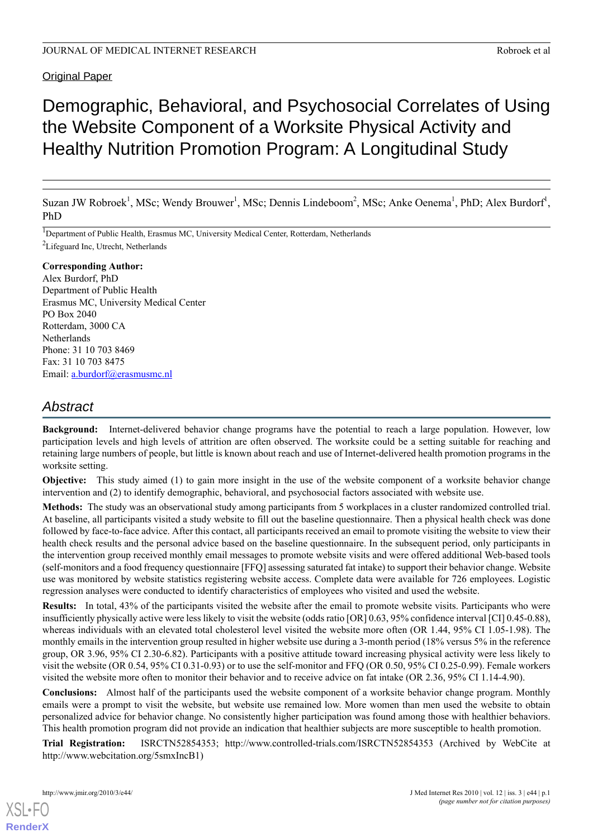# Original Paper

# Demographic, Behavioral, and Psychosocial Correlates of Using the Website Component of a Worksite Physical Activity and Healthy Nutrition Promotion Program: A Longitudinal Study

Suzan JW Robroek<sup>1</sup>, MSc; Wendy Brouwer<sup>1</sup>, MSc; Dennis Lindeboom<sup>2</sup>, MSc; Anke Oenema<sup>1</sup>, PhD; Alex Burdorf<sup>1</sup>, PhD

<sup>1</sup>Department of Public Health, Erasmus MC, University Medical Center, Rotterdam, Netherlands <sup>2</sup>Lifeguard Inc, Utrecht, Netherlands

# **Corresponding Author:**

Alex Burdorf, PhD Department of Public Health Erasmus MC, University Medical Center PO Box 2040 Rotterdam, 3000 CA Netherlands Phone: 31 10 703 8469 Fax: 31 10 703 8475 Email: [a.burdorf@erasmusmc.nl](mailto:a.burdorf@erasmusmc.nl)

# *Abstract*

**Background:** Internet-delivered behavior change programs have the potential to reach a large population. However, low participation levels and high levels of attrition are often observed. The worksite could be a setting suitable for reaching and retaining large numbers of people, but little is known about reach and use of Internet-delivered health promotion programs in the worksite setting.

**Objective:** This study aimed (1) to gain more insight in the use of the website component of a worksite behavior change intervention and (2) to identify demographic, behavioral, and psychosocial factors associated with website use.

**Methods:** The study was an observational study among participants from 5 workplaces in a cluster randomized controlled trial. At baseline, all participants visited a study website to fill out the baseline questionnaire. Then a physical health check was done followed by face-to-face advice. After this contact, all participants received an email to promote visiting the website to view their health check results and the personal advice based on the baseline questionnaire. In the subsequent period, only participants in the intervention group received monthly email messages to promote website visits and were offered additional Web-based tools (self-monitors and a food frequency questionnaire [FFQ] assessing saturated fat intake) to support their behavior change. Website use was monitored by website statistics registering website access. Complete data were available for 726 employees. Logistic regression analyses were conducted to identify characteristics of employees who visited and used the website.

**Results:** In total, 43% of the participants visited the website after the email to promote website visits. Participants who were insufficiently physically active were less likely to visit the website (odds ratio [OR] 0.63, 95% confidence interval [CI] 0.45-0.88), whereas individuals with an elevated total cholesterol level visited the website more often (OR 1.44, 95% CI 1.05-1.98). The monthly emails in the intervention group resulted in higher website use during a 3-month period (18% versus 5% in the reference group, OR 3.96, 95% CI 2.30-6.82). Participants with a positive attitude toward increasing physical activity were less likely to visit the website (OR 0.54, 95% CI 0.31-0.93) or to use the self-monitor and FFQ (OR 0.50, 95% CI 0.25-0.99). Female workers visited the website more often to monitor their behavior and to receive advice on fat intake (OR 2.36, 95% CI 1.14-4.90).

**Conclusions:** Almost half of the participants used the website component of a worksite behavior change program. Monthly emails were a prompt to visit the website, but website use remained low. More women than men used the website to obtain personalized advice for behavior change. No consistently higher participation was found among those with healthier behaviors. This health promotion program did not provide an indication that healthier subjects are more susceptible to health promotion.

**Trial Registration:** ISRCTN52854353; http://www.controlled-trials.com/ISRCTN52854353 (Archived by WebCite at http://www.webcitation.org/5smxIncB1)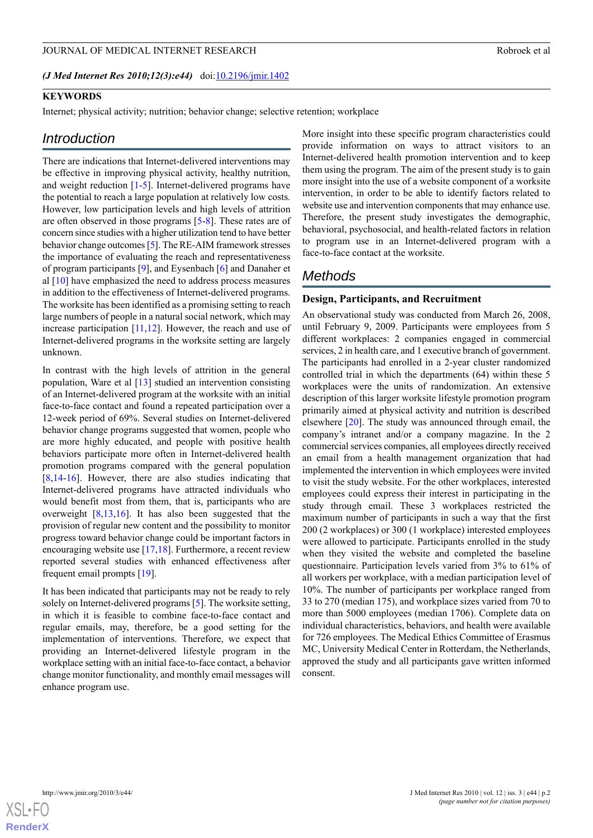#### JOURNAL OF MEDICAL INTERNET RESEARCH ROBROR CONSTRUCTION AND ROBROR ROBROR ROBROR AT A ROBROR ROBROR ROBROR AND ROBROR ROBROR AND ROBROR ROBROR AND ROBROR AND ROBROR ROBROR AND ROBROR ROBROR AND ROBROR AND A ROBROR ROBROR

*(J Med Internet Res 2010;12(3):e44)* doi: $10.2196/$ jmir.1402

# **KEYWORDS**

Internet; physical activity; nutrition; behavior change; selective retention; workplace

# *Introduction*

There are indications that Internet-delivered interventions may be effective in improving physical activity, healthy nutrition, and weight reduction [[1-](#page-13-0)[5](#page-13-1)]. Internet-delivered programs have the potential to reach a large population at relatively low costs. However, low participation levels and high levels of attrition are often observed in those programs [\[5](#page-13-1)[-8](#page-13-2)]. These rates are of concern since studies with a higher utilization tend to have better behavior change outcomes [[5\]](#page-13-1). The RE-AIM framework stresses the importance of evaluating the reach and representativeness of program participants [[9\]](#page-13-3), and Eysenbach [[6\]](#page-13-4) and Danaher et al [[10\]](#page-14-0) have emphasized the need to address process measures in addition to the effectiveness of Internet-delivered programs. The worksite has been identified as a promising setting to reach large numbers of people in a natural social network, which may increase participation [[11](#page-14-1),[12\]](#page-14-2). However, the reach and use of Internet-delivered programs in the worksite setting are largely unknown.

In contrast with the high levels of attrition in the general population, Ware et al [[13\]](#page-14-3) studied an intervention consisting of an Internet-delivered program at the worksite with an initial face-to-face contact and found a repeated participation over a 12-week period of 69%. Several studies on Internet-delivered behavior change programs suggested that women, people who are more highly educated, and people with positive health behaviors participate more often in Internet-delivered health promotion programs compared with the general population [[8](#page-13-2)[,14](#page-14-4)-[16\]](#page-14-5). However, there are also studies indicating that Internet-delivered programs have attracted individuals who would benefit most from them, that is, participants who are overweight [\[8](#page-13-2),[13](#page-14-3)[,16](#page-14-5)]. It has also been suggested that the provision of regular new content and the possibility to monitor progress toward behavior change could be important factors in encouraging website use [[17](#page-14-6)[,18](#page-14-7)]. Furthermore, a recent review reported several studies with enhanced effectiveness after frequent email prompts [[19\]](#page-14-8).

It has been indicated that participants may not be ready to rely solely on Internet-delivered programs [\[5](#page-13-1)]. The worksite setting, in which it is feasible to combine face-to-face contact and regular emails, may, therefore, be a good setting for the implementation of interventions. Therefore, we expect that providing an Internet-delivered lifestyle program in the workplace setting with an initial face-to-face contact, a behavior change monitor functionality, and monthly email messages will enhance program use.

More insight into these specific program characteristics could provide information on ways to attract visitors to an Internet-delivered health promotion intervention and to keep them using the program. The aim of the present study is to gain more insight into the use of a website component of a worksite intervention, in order to be able to identify factors related to website use and intervention components that may enhance use. Therefore, the present study investigates the demographic, behavioral, psychosocial, and health-related factors in relation to program use in an Internet-delivered program with a face-to-face contact at the worksite.

# *Methods*

# **Design, Participants, and Recruitment**

An observational study was conducted from March 26, 2008, until February 9, 2009. Participants were employees from 5 different workplaces: 2 companies engaged in commercial services, 2 in health care, and 1 executive branch of government. The participants had enrolled in a 2-year cluster randomized controlled trial in which the departments (64) within these 5 workplaces were the units of randomization. An extensive description of this larger worksite lifestyle promotion program primarily aimed at physical activity and nutrition is described elsewhere [\[20](#page-14-9)]. The study was announced through email, the company's intranet and/or a company magazine. In the 2 commercial services companies, all employees directly received an email from a health management organization that had implemented the intervention in which employees were invited to visit the study website. For the other workplaces, interested employees could express their interest in participating in the study through email. These 3 workplaces restricted the maximum number of participants in such a way that the first 200 (2 workplaces) or 300 (1 workplace) interested employees were allowed to participate. Participants enrolled in the study when they visited the website and completed the baseline questionnaire. Participation levels varied from 3% to 61% of all workers per workplace, with a median participation level of 10%. The number of participants per workplace ranged from 33 to 270 (median 175), and workplace sizes varied from 70 to more than 5000 employees (median 1706). Complete data on individual characteristics, behaviors, and health were available for 726 employees. The Medical Ethics Committee of Erasmus MC, University Medical Center in Rotterdam, the Netherlands, approved the study and all participants gave written informed consent.

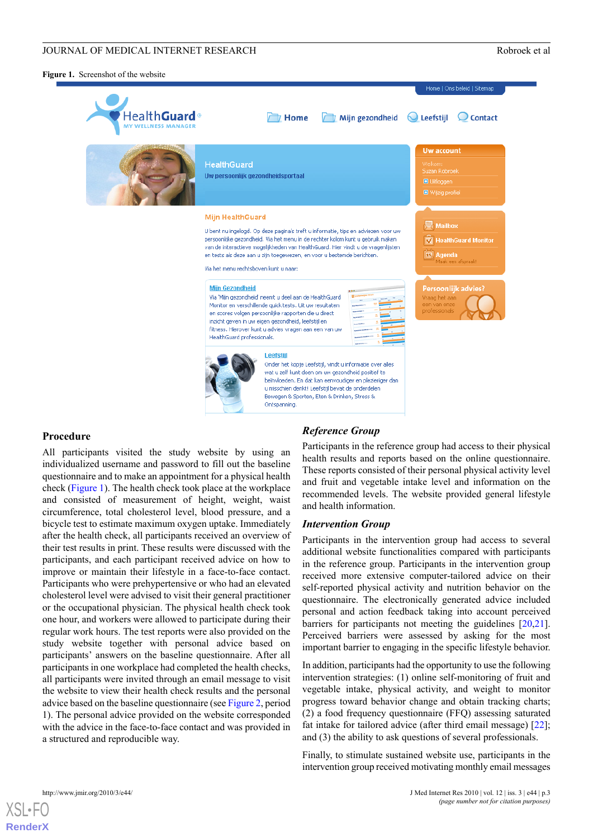#### JOURNAL OF MEDICAL INTERNET RESEARCH ROBROR CONSTRUCTION AND ROBROR ROBROR ROBROR AT A ROBROR ROBROR ROBROR AND ROBROR ROBROR AND ROBROR ROBROR AND ROBROR AND ROBROR ROBROR AND ROBROR ROBROR AND ROBROR AND A ROBROR ROBROR

<span id="page-2-0"></span>**Figure 1.** Screenshot of the website



# **Procedure**

All participants visited the study website by using an individualized username and password to fill out the baseline questionnaire and to make an appointment for a physical health check [\(Figure 1\)](#page-2-0). The health check took place at the workplace and consisted of measurement of height, weight, waist circumference, total cholesterol level, blood pressure, and a bicycle test to estimate maximum oxygen uptake. Immediately after the health check, all participants received an overview of their test results in print. These results were discussed with the participants, and each participant received advice on how to improve or maintain their lifestyle in a face-to-face contact. Participants who were prehypertensive or who had an elevated cholesterol level were advised to visit their general practitioner or the occupational physician. The physical health check took one hour, and workers were allowed to participate during their regular work hours. The test reports were also provided on the study website together with personal advice based on participants' answers on the baseline questionnaire. After all participants in one workplace had completed the health checks, all participants were invited through an email message to visit the website to view their health check results and the personal advice based on the baseline questionnaire (see [Figure 2,](#page-3-0) period 1). The personal advice provided on the website corresponded with the advice in the face-to-face contact and was provided in a structured and reproducible way.

# *Reference Group*

Participants in the reference group had access to their physical health results and reports based on the online questionnaire. These reports consisted of their personal physical activity level and fruit and vegetable intake level and information on the recommended levels. The website provided general lifestyle and health information.

#### *Intervention Group*

Participants in the intervention group had access to several additional website functionalities compared with participants in the reference group. Participants in the intervention group received more extensive computer-tailored advice on their self-reported physical activity and nutrition behavior on the questionnaire. The electronically generated advice included personal and action feedback taking into account perceived barriers for participants not meeting the guidelines [\[20](#page-14-9),[21\]](#page-14-10). Perceived barriers were assessed by asking for the most important barrier to engaging in the specific lifestyle behavior.

In addition, participants had the opportunity to use the following intervention strategies: (1) online self-monitoring of fruit and vegetable intake, physical activity, and weight to monitor progress toward behavior change and obtain tracking charts; (2) a food frequency questionnaire (FFQ) assessing saturated fat intake for tailored advice (after third email message) [[22\]](#page-14-11); and (3) the ability to ask questions of several professionals.

Finally, to stimulate sustained website use, participants in the intervention group received motivating monthly email messages

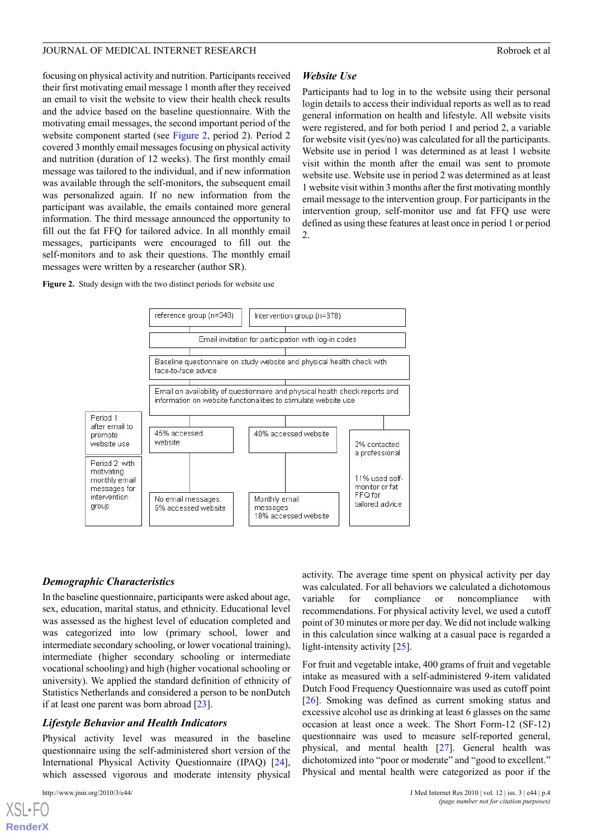focusing on physical activity and nutrition. Participants received their first motivating email message 1 month after they received an email to visit the website to view their health check results and the advice based on the baseline questionnaire. With the motivating email messages, the second important period of the website component started (see [Figure 2](#page-3-0), period 2). Period 2 covered 3 monthly email messages focusing on physical activity and nutrition (duration of 12 weeks). The first monthly email message was tailored to the individual, and if new information was available through the self-monitors, the subsequent email was personalized again. If no new information from the participant was available, the emails contained more general information. The third message announced the opportunity to fill out the fat FFQ for tailored advice. In all monthly email messages, participants were encouraged to fill out the self-monitors and to ask their questions. The monthly email messages were written by a researcher (author SR).

### <span id="page-3-0"></span>**Figure 2.** Study design with the two distinct periods for website use



*Website Use*

2.

Participants had to log in to the website using their personal login details to access their individual reports as well as to read general information on health and lifestyle. All website visits were registered, and for both period 1 and period 2, a variable for website visit (yes/no) was calculated for all the participants. Website use in period 1 was determined as at least 1 website visit within the month after the email was sent to promote website use. Website use in period 2 was determined as at least 1 website visit within 3 months after the first motivating monthly email message to the intervention group. For participants in the intervention group, self-monitor use and fat FFQ use were defined as using these features at least once in period 1 or period

# *Demographic Characteristics*

In the baseline questionnaire, participants were asked about age, sex, education, marital status, and ethnicity. Educational level was assessed as the highest level of education completed and was categorized into low (primary school, lower and intermediate secondary schooling, or lower vocational training), intermediate (higher secondary schooling or intermediate vocational schooling) and high (higher vocational schooling or university). We applied the standard definition of ethnicity of Statistics Netherlands and considered a person to be nonDutch if at least one parent was born abroad [[23\]](#page-14-12).

# *Lifestyle Behavior and Health Indicators*

Physical activity level was measured in the baseline questionnaire using the self-administered short version of the International Physical Activity Questionnaire (IPAQ) [[24\]](#page-14-13), which assessed vigorous and moderate intensity physical

activity. The average time spent on physical activity per day was calculated. For all behaviors we calculated a dichotomous variable for compliance or noncompliance with recommendations. For physical activity level, we used a cutoff point of 30 minutes or more per day. We did not include walking in this calculation since walking at a casual pace is regarded a light-intensity activity [[25\]](#page-14-14).

For fruit and vegetable intake, 400 grams of fruit and vegetable intake as measured with a self-administered 9-item validated Dutch Food Frequency Questionnaire was used as cutoff point [[26\]](#page-14-15). Smoking was defined as current smoking status and excessive alcohol use as drinking at least 6 glasses on the same occasion at least once a week. The Short Form-12 (SF-12) questionnaire was used to measure self-reported general, physical, and mental health [\[27](#page-14-16)]. General health was dichotomized into "poor or moderate" and "good to excellent." Physical and mental health were categorized as poor if the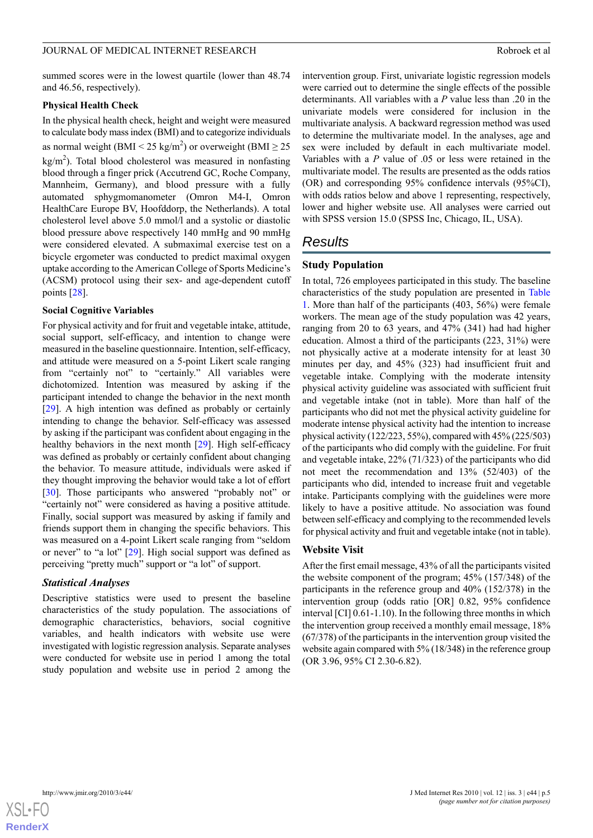summed scores were in the lowest quartile (lower than 48.74 and 46.56, respectively).

#### **Physical Health Check**

In the physical health check, height and weight were measured to calculate body mass index (BMI) and to categorize individuals as normal weight (BMI < 25 kg/m<sup>2</sup>) or overweight (BMI  $\geq$  25  $\text{kg/m}^2$ ). Total blood cholesterol was measured in nonfasting blood through a finger prick (Accutrend GC, Roche Company, Mannheim, Germany), and blood pressure with a fully automated sphygmomanometer (Omron M4-I, Omron HealthCare Europe BV, Hoofddorp, the Netherlands). A total cholesterol level above 5.0 mmol/l and a systolic or diastolic blood pressure above respectively 140 mmHg and 90 mmHg were considered elevated. A submaximal exercise test on a bicycle ergometer was conducted to predict maximal oxygen uptake according to the American College of Sports Medicine's (ACSM) protocol using their sex- and age-dependent cutoff points [[28\]](#page-14-17).

# **Social Cognitive Variables**

For physical activity and for fruit and vegetable intake, attitude, social support, self-efficacy, and intention to change were measured in the baseline questionnaire. Intention, self-efficacy, and attitude were measured on a 5-point Likert scale ranging from "certainly not" to "certainly." All variables were dichotomized. Intention was measured by asking if the participant intended to change the behavior in the next month [[29\]](#page-14-18). A high intention was defined as probably or certainly intending to change the behavior. Self-efficacy was assessed by asking if the participant was confident about engaging in the healthy behaviors in the next month [[29\]](#page-14-18). High self-efficacy was defined as probably or certainly confident about changing the behavior. To measure attitude, individuals were asked if they thought improving the behavior would take a lot of effort [[30\]](#page-14-19). Those participants who answered "probably not" or "certainly not" were considered as having a positive attitude. Finally, social support was measured by asking if family and friends support them in changing the specific behaviors. This was measured on a 4-point Likert scale ranging from "seldom or never" to "a lot" [[29\]](#page-14-18). High social support was defined as perceiving "pretty much" support or "a lot" of support.

# *Statistical Analyses*

Descriptive statistics were used to present the baseline characteristics of the study population. The associations of demographic characteristics, behaviors, social cognitive variables, and health indicators with website use were investigated with logistic regression analysis. Separate analyses were conducted for website use in period 1 among the total study population and website use in period 2 among the

intervention group. First, univariate logistic regression models were carried out to determine the single effects of the possible determinants. All variables with a *P* value less than .20 in the univariate models were considered for inclusion in the multivariate analysis. A backward regression method was used to determine the multivariate model. In the analyses, age and sex were included by default in each multivariate model. Variables with a *P* value of .05 or less were retained in the multivariate model. The results are presented as the odds ratios (OR) and corresponding 95% confidence intervals (95%CI), with odds ratios below and above 1 representing, respectively, lower and higher website use. All analyses were carried out with SPSS version 15.0 (SPSS Inc, Chicago, IL, USA).

# *Results*

#### **Study Population**

In total, 726 employees participated in this study. The baseline characteristics of the study population are presented in [Table](#page-5-0) [1.](#page-5-0) More than half of the participants (403, 56%) were female workers. The mean age of the study population was 42 years, ranging from 20 to 63 years, and 47% (341) had had higher education. Almost a third of the participants (223, 31%) were not physically active at a moderate intensity for at least 30 minutes per day, and 45% (323) had insufficient fruit and vegetable intake. Complying with the moderate intensity physical activity guideline was associated with sufficient fruit and vegetable intake (not in table). More than half of the participants who did not met the physical activity guideline for moderate intense physical activity had the intention to increase physical activity (122/223, 55%), compared with 45% (225/503) of the participants who did comply with the guideline. For fruit and vegetable intake, 22% (71/323) of the participants who did not meet the recommendation and 13% (52/403) of the participants who did, intended to increase fruit and vegetable intake. Participants complying with the guidelines were more likely to have a positive attitude. No association was found between self-efficacy and complying to the recommended levels for physical activity and fruit and vegetable intake (not in table).

#### **Website Visit**

After the first email message, 43% of all the participants visited the website component of the program; 45% (157/348) of the participants in the reference group and 40% (152/378) in the intervention group (odds ratio [OR] 0.82, 95% confidence interval [CI] 0.61-1.10). In the following three months in which the intervention group received a monthly email message, 18% (67/378) of the participants in the intervention group visited the website again compared with 5% (18/348) in the reference group (OR 3.96, 95% CI 2.30-6.82).

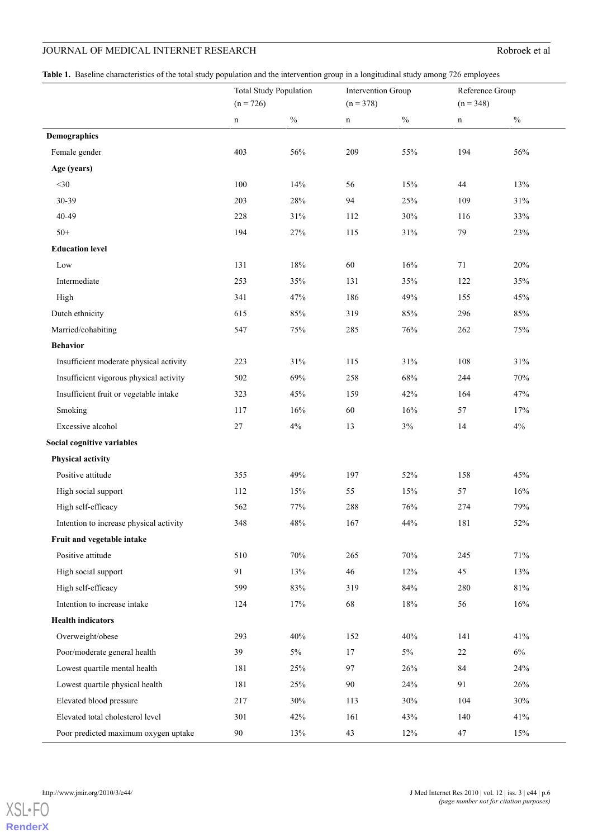<span id="page-5-0"></span>**Table 1.** Baseline characteristics of the total study population and the intervention group in a longitudinal study among 726 employees

|                                         | <b>Total Study Population</b> |        | <b>Intervention Group</b> |        | Reference Group |        |
|-----------------------------------------|-------------------------------|--------|---------------------------|--------|-----------------|--------|
|                                         | $(n = 726)$                   |        | $(n = 378)$               |        | $(n = 348)$     |        |
|                                         | $\mathbf n$                   | $\%$   | $\mathbf n$               | $\%$   | $\mathbf n$     | $\%$   |
| <b>Demographics</b>                     |                               |        |                           |        |                 |        |
| Female gender                           | 403                           | $56\%$ | 209                       | 55%    | 194             | 56%    |
| Age (years)                             |                               |        |                           |        |                 |        |
| $<$ 30                                  | 100                           | 14%    | 56                        | 15%    | 44              | 13%    |
| 30-39                                   | 203                           | 28%    | 94                        | 25%    | 109             | 31%    |
| 40-49                                   | 228                           | $31\%$ | 112                       | $30\%$ | 116             | 33%    |
| $50+$                                   | 194                           | 27%    | 115                       | $31\%$ | 79              | 23%    |
| <b>Education level</b>                  |                               |        |                           |        |                 |        |
| Low                                     | 131                           | 18%    | 60                        | 16%    | 71              | $20\%$ |
| Intermediate                            | 253                           | 35%    | 131                       | $35\%$ | 122             | $35\%$ |
| High                                    | 341                           | 47%    | 186                       | 49%    | 155             | 45%    |
| Dutch ethnicity                         | 615                           | 85%    | 319                       | $85\%$ | 296             | 85%    |
| Married/cohabiting                      | 547                           | 75%    | 285                       | 76%    | 262             | 75%    |
| <b>Behavior</b>                         |                               |        |                           |        |                 |        |
| Insufficient moderate physical activity | 223                           | $31\%$ | 115                       | $31\%$ | 108             | 31%    |
| Insufficient vigorous physical activity | 502                           | 69%    | 258                       | 68%    | 244             | 70%    |
| Insufficient fruit or vegetable intake  | 323                           | 45%    | 159                       | 42%    | 164             | 47%    |
| Smoking                                 | 117                           | 16%    | 60                        | 16%    | 57              | 17%    |
| Excessive alcohol                       | 27                            | $4\%$  | 13                        | $3\%$  | 14              | $4\%$  |
| Social cognitive variables              |                               |        |                           |        |                 |        |
| Physical activity                       |                               |        |                           |        |                 |        |
| Positive attitude                       | 355                           | 49%    | 197                       | 52%    | 158             | 45%    |
| High social support                     | 112                           | 15%    | 55                        | 15%    | 57              | 16%    |
| High self-efficacy                      | 562                           | 77%    | 288                       | 76%    | 274             | 79%    |
| Intention to increase physical activity | 348                           | 48%    | 167                       | 44%    | 181             | 52%    |
| Fruit and vegetable intake              |                               |        |                           |        |                 |        |
| Positive attitude                       | 510                           | $70\%$ | 265                       | $70\%$ | 245             | $71\%$ |
| High social support                     | 91                            | 13%    | 46                        | 12%    | 45              | 13%    |
| High self-efficacy                      | 599                           | 83%    | 319                       | 84%    | 280             | $81\%$ |
| Intention to increase intake            | 124                           | 17%    | 68                        | $18\%$ | 56              | 16%    |
| <b>Health indicators</b>                |                               |        |                           |        |                 |        |
| Overweight/obese                        | 293                           | 40%    | 152                       | 40%    | 141             | 41%    |
| Poor/moderate general health            | 39                            | $5\%$  | 17                        | $5\%$  | 22              | $6\%$  |
| Lowest quartile mental health           | 181                           | 25%    | 97                        | 26%    | 84              | 24%    |
| Lowest quartile physical health         | 181                           | 25%    | 90                        | 24%    | 91              | 26%    |
| Elevated blood pressure                 | 217                           | 30%    | 113                       | 30%    | 104             | 30%    |
| Elevated total cholesterol level        | 301                           | 42%    | 161                       | 43%    | 140             | 41%    |
| Poor predicted maximum oxygen uptake    | 90                            | 13%    | 43                        | 12%    | 47              | 15%    |

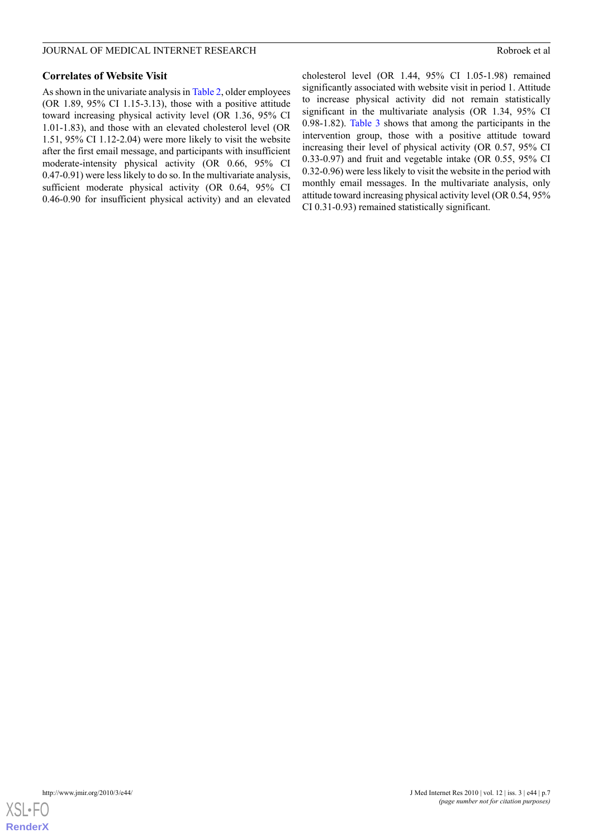# **Correlates of Website Visit**

As shown in the univariate analysis in [Table 2](#page-7-0), older employees (OR 1.89, 95% CI 1.15-3.13), those with a positive attitude toward increasing physical activity level (OR 1.36, 95% CI 1.01-1.83), and those with an elevated cholesterol level (OR 1.51, 95% CI 1.12-2.04) were more likely to visit the website after the first email message, and participants with insufficient moderate-intensity physical activity (OR 0.66, 95% CI 0.47-0.91) were less likely to do so. In the multivariate analysis, sufficient moderate physical activity (OR 0.64, 95% CI 0.46-0.90 for insufficient physical activity) and an elevated

cholesterol level (OR 1.44, 95% CI 1.05-1.98) remained significantly associated with website visit in period 1. Attitude to increase physical activity did not remain statistically significant in the multivariate analysis (OR 1.34, 95% CI 0.98-1.82). [Table 3](#page-9-0) shows that among the participants in the intervention group, those with a positive attitude toward increasing their level of physical activity (OR 0.57, 95% CI 0.33-0.97) and fruit and vegetable intake (OR 0.55, 95% CI 0.32-0.96) were less likely to visit the website in the period with monthly email messages. In the multivariate analysis, only attitude toward increasing physical activity level (OR 0.54, 95% CI 0.31-0.93) remained statistically significant.

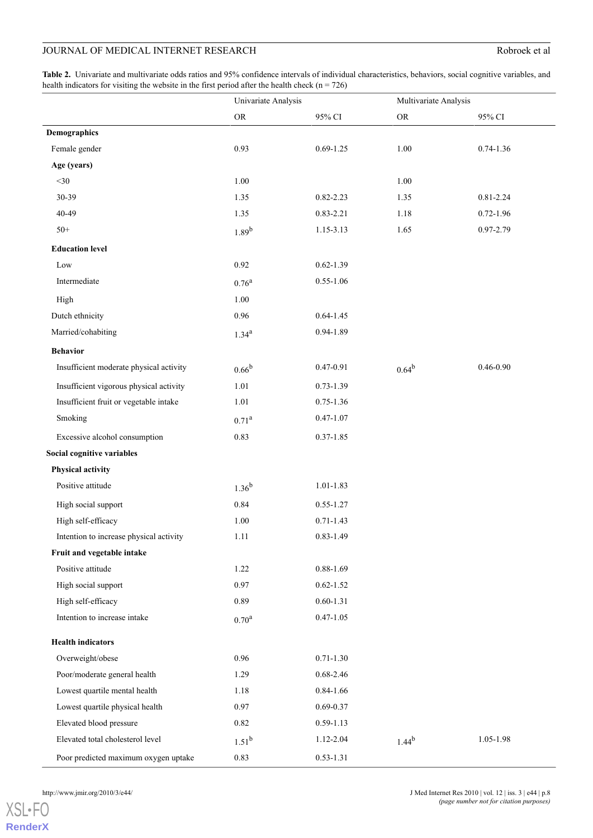<span id="page-7-0"></span>**Table 2.** Univariate and multivariate odds ratios and 95% confidence intervals of individual characteristics, behaviors, social cognitive variables, and health indicators for visiting the website in the first period after the health check ( $n = 726$ )

|                                         | Univariate Analysis |               | Multivariate Analysis |               |  |
|-----------------------------------------|---------------------|---------------|-----------------------|---------------|--|
|                                         | ${\rm OR}$          | 95% CI        | ${\rm OR}$            | 95% CI        |  |
| <b>Demographics</b>                     |                     |               |                       |               |  |
| Female gender                           | 0.93                | $0.69 - 1.25$ | 1.00                  | $0.74 - 1.36$ |  |
| Age (years)                             |                     |               |                       |               |  |
| $<$ 30                                  | 1.00                |               | 1.00                  |               |  |
| 30-39                                   | 1.35                | $0.82 - 2.23$ | 1.35                  | $0.81 - 2.24$ |  |
| 40-49                                   | 1.35                | $0.83 - 2.21$ | 1.18                  | $0.72 - 1.96$ |  |
| $50+$                                   | $1.89^{b}$          | 1.15-3.13     | 1.65                  | 0.97-2.79     |  |
| <b>Education level</b>                  |                     |               |                       |               |  |
| Low                                     | 0.92                | $0.62 - 1.39$ |                       |               |  |
| Intermediate                            | $0.76^{\rm a}$      | $0.55 - 1.06$ |                       |               |  |
| High                                    | 1.00                |               |                       |               |  |
| Dutch ethnicity                         | 0.96                | $0.64 - 1.45$ |                       |               |  |
| Married/cohabiting                      | $1.34^{a}$          | 0.94-1.89     |                       |               |  |
| <b>Behavior</b>                         |                     |               |                       |               |  |
| Insufficient moderate physical activity | $0.66^{b}$          | 0.47-0.91     | $0.64^{b}$            | $0.46 - 0.90$ |  |
| Insufficient vigorous physical activity | 1.01                | $0.73 - 1.39$ |                       |               |  |
| Insufficient fruit or vegetable intake  | 1.01                | $0.75 - 1.36$ |                       |               |  |
| Smoking                                 | $0.71^{\rm a}$      | $0.47 - 1.07$ |                       |               |  |
| Excessive alcohol consumption           | 0.83                | $0.37 - 1.85$ |                       |               |  |
| Social cognitive variables              |                     |               |                       |               |  |
| Physical activity                       |                     |               |                       |               |  |
| Positive attitude                       | $1.36^{b}$          | $1.01 - 1.83$ |                       |               |  |
| High social support                     | 0.84                | $0.55 - 1.27$ |                       |               |  |
| High self-efficacy                      | 1.00                | $0.71 - 1.43$ |                       |               |  |
| Intention to increase physical activity | $1.11\,$            | $0.83 - 1.49$ |                       |               |  |
| Fruit and vegetable intake              |                     |               |                       |               |  |
| Positive attitude                       | 1.22                | $0.88 - 1.69$ |                       |               |  |
| High social support                     | 0.97                | $0.62 - 1.52$ |                       |               |  |
| High self-efficacy                      | 0.89                | $0.60 - 1.31$ |                       |               |  |
| Intention to increase intake            | $0.70^{\rm a}$      | $0.47 - 1.05$ |                       |               |  |
| <b>Health indicators</b>                |                     |               |                       |               |  |
| Overweight/obese                        | 0.96                | $0.71 - 1.30$ |                       |               |  |
| Poor/moderate general health            | 1.29                | $0.68 - 2.46$ |                       |               |  |
| Lowest quartile mental health           | 1.18                | $0.84 - 1.66$ |                       |               |  |
| Lowest quartile physical health         | 0.97                | $0.69 - 0.37$ |                       |               |  |
| Elevated blood pressure                 | 0.82                | $0.59 - 1.13$ |                       |               |  |
| Elevated total cholesterol level        | $1.51^{b}$          | 1.12-2.04     | $1.44^{b}$            | 1.05-1.98     |  |
| Poor predicted maximum oxygen uptake    | 0.83                | $0.53 - 1.31$ |                       |               |  |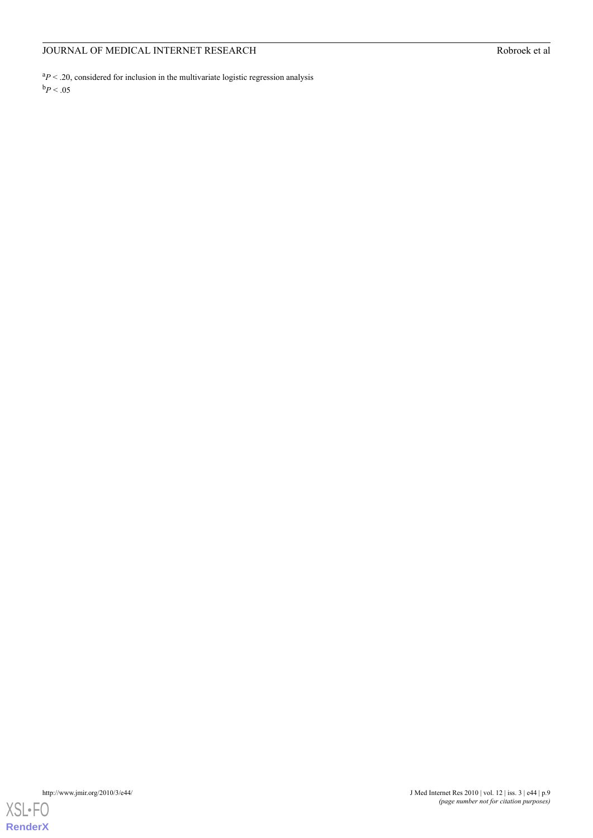${}^{a}P$  < .20, considered for inclusion in the multivariate logistic regression analysis  $\mathrm{^{b}P}$  < .05

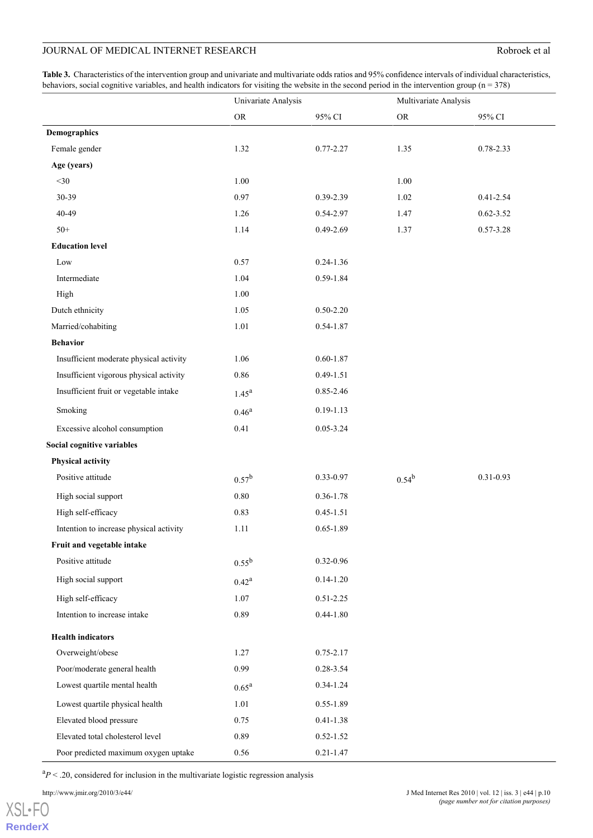<span id="page-9-0"></span>**Table 3.** Characteristics of the intervention group and univariate and multivariate odds ratios and 95% confidence intervals of individual characteristics, behaviors, social cognitive variables, and health indicators for visiting the website in the second period in the intervention group ( $n = 378$ )

|                                         | Univariate Analysis |               | Multivariate Analysis |               |
|-----------------------------------------|---------------------|---------------|-----------------------|---------------|
|                                         | ${\rm OR}$          | 95% CI        | ${\rm OR}$            | 95% CI        |
| Demographics                            |                     |               |                       |               |
| Female gender                           | 1.32                | $0.77 - 2.27$ | 1.35                  | 0.78-2.33     |
| Age (years)                             |                     |               |                       |               |
| $<$ 30                                  | 1.00                |               | 1.00                  |               |
| 30-39                                   | 0.97                | 0.39-2.39     | 1.02                  | $0.41 - 2.54$ |
| 40-49                                   | 1.26                | 0.54-2.97     | 1.47                  | $0.62 - 3.52$ |
| $50+$                                   | 1.14                | 0.49-2.69     | 1.37                  | $0.57 - 3.28$ |
| <b>Education level</b>                  |                     |               |                       |               |
| Low                                     | 0.57                | $0.24 - 1.36$ |                       |               |
| Intermediate                            | 1.04                | 0.59-1.84     |                       |               |
| High                                    | 1.00                |               |                       |               |
| Dutch ethnicity                         | 1.05                | $0.50 - 2.20$ |                       |               |
| Married/cohabiting                      | 1.01                | $0.54 - 1.87$ |                       |               |
| <b>Behavior</b>                         |                     |               |                       |               |
| Insufficient moderate physical activity | 1.06                | $0.60 - 1.87$ |                       |               |
| Insufficient vigorous physical activity | 0.86                | $0.49 - 1.51$ |                       |               |
| Insufficient fruit or vegetable intake  | $1.45^{\rm a}$      | 0.85-2.46     |                       |               |
| Smoking                                 | $0.46^{a}$          | $0.19 - 1.13$ |                       |               |
| Excessive alcohol consumption           | 0.41                | $0.05 - 3.24$ |                       |               |
| Social cognitive variables              |                     |               |                       |               |
| Physical activity                       |                     |               |                       |               |
| Positive attitude                       | $0.57^{\rm b}$      | 0.33-0.97     | $0.54^{b}$            | $0.31 - 0.93$ |
| High social support                     | $0.80\,$            | $0.36 - 1.78$ |                       |               |
| High self-efficacy                      | 0.83                | $0.45 - 1.51$ |                       |               |
| Intention to increase physical activity | 1.11                | $0.65 - 1.89$ |                       |               |
| Fruit and vegetable intake              |                     |               |                       |               |
| Positive attitude                       | $0.55^{b}$          | $0.32 - 0.96$ |                       |               |
| High social support                     | $0.42^{\rm a}$      | $0.14 - 1.20$ |                       |               |
| High self-efficacy                      | 1.07                | $0.51 - 2.25$ |                       |               |
| Intention to increase intake            | 0.89                | $0.44 - 1.80$ |                       |               |
| <b>Health indicators</b>                |                     |               |                       |               |
| Overweight/obese                        | 1.27                | $0.75 - 2.17$ |                       |               |
| Poor/moderate general health            | 0.99                | 0.28-3.54     |                       |               |
| Lowest quartile mental health           | $0.65^{\rm a}$      | $0.34 - 1.24$ |                       |               |
| Lowest quartile physical health         | 1.01                | $0.55 - 1.89$ |                       |               |
| Elevated blood pressure                 | 0.75                | $0.41 - 1.38$ |                       |               |
| Elevated total cholesterol level        | 0.89                | $0.52 - 1.52$ |                       |               |
| Poor predicted maximum oxygen uptake    | 0.56                | $0.21 - 1.47$ |                       |               |

 ${}^{a}P$  < .20, considered for inclusion in the multivariate logistic regression analysis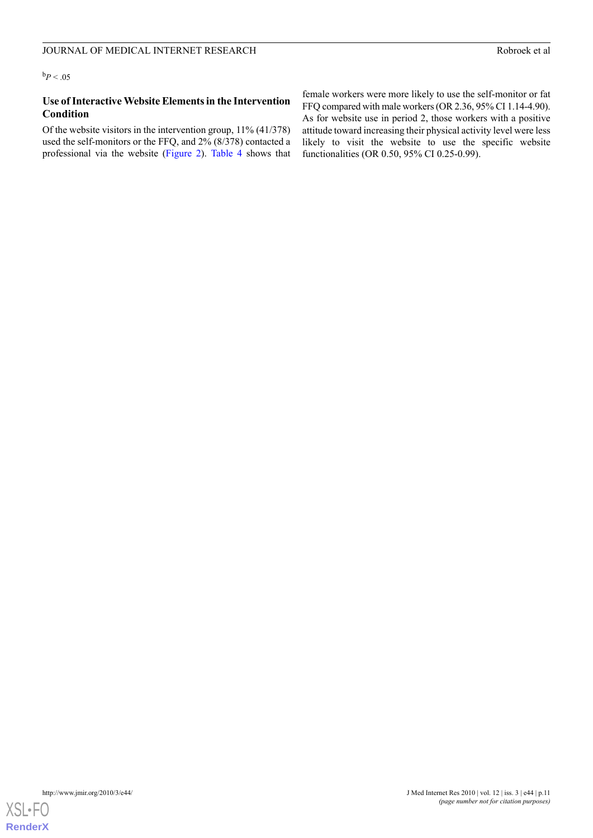# **Use of Interactive Website Elements in the Intervention Condition**

Of the website visitors in the intervention group, 11% (41/378) used the self-monitors or the FFQ, and 2% (8/378) contacted a professional via the website [\(Figure 2\)](#page-3-0). [Table 4](#page-11-0) shows that

female workers were more likely to use the self-monitor or fat FFQ compared with male workers (OR 2.36, 95% CI 1.14-4.90). As for website use in period 2, those workers with a positive attitude toward increasing their physical activity level were less likely to visit the website to use the specific website functionalities (OR 0.50, 95% CI 0.25-0.99).

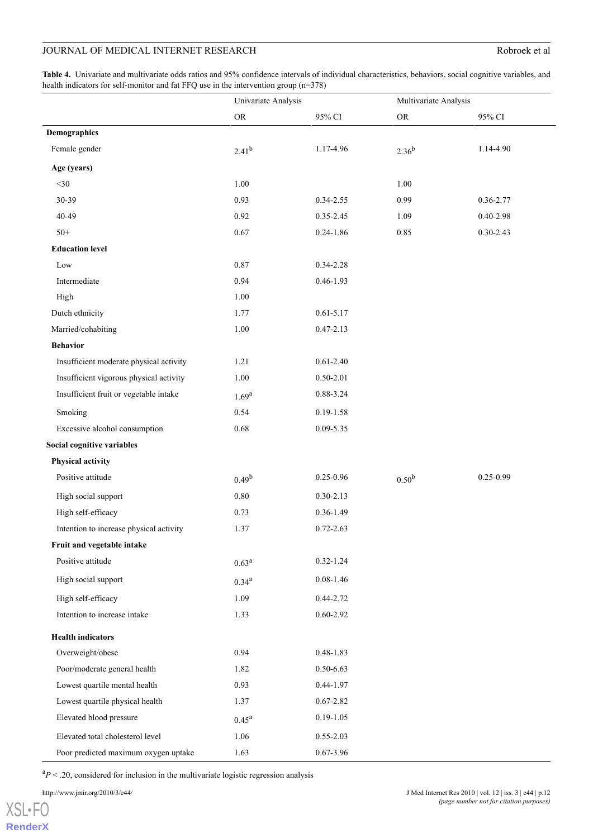<span id="page-11-0"></span>**Table 4.** Univariate and multivariate odds ratios and 95% confidence intervals of individual characteristics, behaviors, social cognitive variables, and health indicators for self-monitor and fat FFQ use in the intervention group (n=378)

|                                         | Univariate Analysis |               | Multivariate Analysis |               |
|-----------------------------------------|---------------------|---------------|-----------------------|---------------|
|                                         | ${\rm OR}$          | 95% CI        | ${\rm OR}$            | 95% CI        |
| <b>Demographics</b>                     |                     |               |                       |               |
| Female gender                           | $2.41^{b}$          | 1.17-4.96     | $2.36^{b}$            | 1.14-4.90     |
| Age (years)                             |                     |               |                       |               |
| $<$ 30                                  | 1.00                |               | 1.00                  |               |
| 30-39                                   | 0.93                | 0.34-2.55     | 0.99                  | 0.36-2.77     |
| 40-49                                   | 0.92                | 0.35-2.45     | 1.09                  | $0.40 - 2.98$ |
| $50+$                                   | 0.67                | $0.24 - 1.86$ | 0.85                  | $0.30 - 2.43$ |
| <b>Education level</b>                  |                     |               |                       |               |
| Low                                     | 0.87                | 0.34-2.28     |                       |               |
| Intermediate                            | 0.94                | $0.46 - 1.93$ |                       |               |
| High                                    | 1.00                |               |                       |               |
| Dutch ethnicity                         | 1.77                | $0.61 - 5.17$ |                       |               |
| Married/cohabiting                      | 1.00                | $0.47 - 2.13$ |                       |               |
| <b>Behavior</b>                         |                     |               |                       |               |
| Insufficient moderate physical activity | 1.21                | $0.61 - 2.40$ |                       |               |
| Insufficient vigorous physical activity | 1.00                | $0.50 - 2.01$ |                       |               |
| Insufficient fruit or vegetable intake  | $1.69^{a}$          | 0.88-3.24     |                       |               |
| Smoking                                 | 0.54                | $0.19 - 1.58$ |                       |               |
| Excessive alcohol consumption           | 0.68                | $0.09 - 5.35$ |                       |               |
| Social cognitive variables              |                     |               |                       |               |
| Physical activity                       |                     |               |                       |               |
| Positive attitude                       | $0.49^{b}$          | $0.25 - 0.96$ | 0.50 <sup>b</sup>     | 0.25-0.99     |
| High social support                     | $0.80\,$            | $0.30 - 2.13$ |                       |               |
| High self-efficacy                      | 0.73                | $0.36 - 1.49$ |                       |               |
| Intention to increase physical activity | 1.37                | $0.72 - 2.63$ |                       |               |
| Fruit and vegetable intake              |                     |               |                       |               |
| Positive attitude                       | $0.63^{\rm a}$      | $0.32 - 1.24$ |                       |               |
| High social support                     | $0.34^{a}$          | $0.08 - 1.46$ |                       |               |
| High self-efficacy                      | 1.09                | 0.44-2.72     |                       |               |
| Intention to increase intake            | 1.33                | $0.60 - 2.92$ |                       |               |
| <b>Health indicators</b>                |                     |               |                       |               |
| Overweight/obese                        | 0.94                | $0.48 - 1.83$ |                       |               |
| Poor/moderate general health            | 1.82                | $0.50 - 6.63$ |                       |               |
| Lowest quartile mental health           | 0.93                | 0.44-1.97     |                       |               |
| Lowest quartile physical health         | 1.37                | $0.67 - 2.82$ |                       |               |
| Elevated blood pressure                 | $0.45^{\rm a}$      | $0.19 - 1.05$ |                       |               |
| Elevated total cholesterol level        | 1.06                | $0.55 - 2.03$ |                       |               |
| Poor predicted maximum oxygen uptake    | 1.63                | $0.67 - 3.96$ |                       |               |

 ${}^{a}P$  < .20, considered for inclusion in the multivariate logistic regression analysis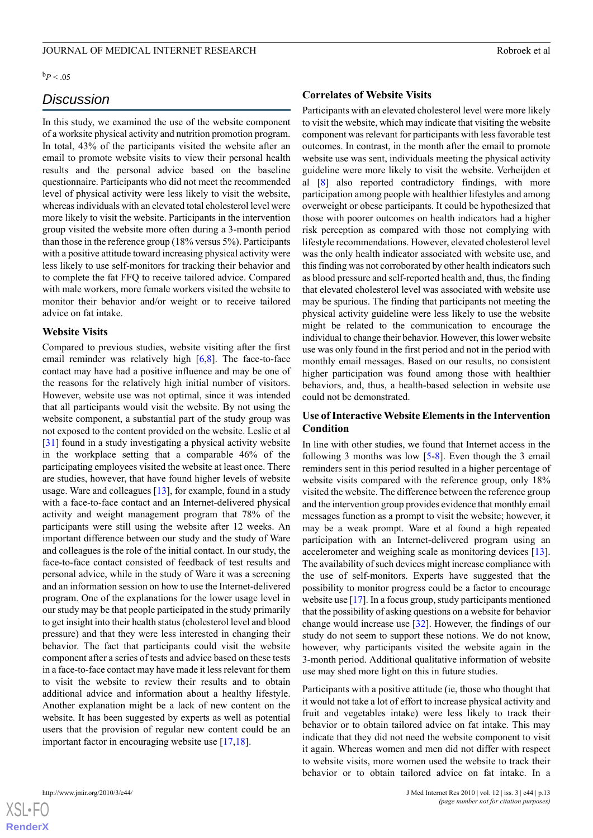$\rm ^{b}P$  < .05

# *Discussion*

In this study, we examined the use of the website component of a worksite physical activity and nutrition promotion program. In total, 43% of the participants visited the website after an email to promote website visits to view their personal health results and the personal advice based on the baseline questionnaire. Participants who did not meet the recommended level of physical activity were less likely to visit the website, whereas individuals with an elevated total cholesterol level were more likely to visit the website. Participants in the intervention group visited the website more often during a 3-month period than those in the reference group (18% versus 5%). Participants with a positive attitude toward increasing physical activity were less likely to use self-monitors for tracking their behavior and to complete the fat FFQ to receive tailored advice. Compared with male workers, more female workers visited the website to monitor their behavior and/or weight or to receive tailored advice on fat intake.

# **Website Visits**

Compared to previous studies, website visiting after the first email reminder was relatively high [\[6](#page-13-4),[8\]](#page-13-2). The face-to-face contact may have had a positive influence and may be one of the reasons for the relatively high initial number of visitors. However, website use was not optimal, since it was intended that all participants would visit the website. By not using the website component, a substantial part of the study group was not exposed to the content provided on the website. Leslie et al [[31\]](#page-14-20) found in a study investigating a physical activity website in the workplace setting that a comparable 46% of the participating employees visited the website at least once. There are studies, however, that have found higher levels of website usage. Ware and colleagues  $[13]$  $[13]$ , for example, found in a study with a face-to-face contact and an Internet-delivered physical activity and weight management program that 78% of the participants were still using the website after 12 weeks. An important difference between our study and the study of Ware and colleagues is the role of the initial contact. In our study, the face-to-face contact consisted of feedback of test results and personal advice, while in the study of Ware it was a screening and an information session on how to use the Internet-delivered program. One of the explanations for the lower usage level in our study may be that people participated in the study primarily to get insight into their health status (cholesterol level and blood pressure) and that they were less interested in changing their behavior. The fact that participants could visit the website component after a series of tests and advice based on these tests in a face-to-face contact may have made it less relevant for them to visit the website to review their results and to obtain additional advice and information about a healthy lifestyle. Another explanation might be a lack of new content on the website. It has been suggested by experts as well as potential users that the provision of regular new content could be an important factor in encouraging website use [[17](#page-14-6)[,18](#page-14-7)].

#### **Correlates of Website Visits**

Participants with an elevated cholesterol level were more likely to visit the website, which may indicate that visiting the website component was relevant for participants with less favorable test outcomes. In contrast, in the month after the email to promote website use was sent, individuals meeting the physical activity guideline were more likely to visit the website. Verheijden et al [[8\]](#page-13-2) also reported contradictory findings, with more participation among people with healthier lifestyles and among overweight or obese participants. It could be hypothesized that those with poorer outcomes on health indicators had a higher risk perception as compared with those not complying with lifestyle recommendations. However, elevated cholesterol level was the only health indicator associated with website use, and this finding was not corroborated by other health indicators such as blood pressure and self-reported health and, thus, the finding that elevated cholesterol level was associated with website use may be spurious. The finding that participants not meeting the physical activity guideline were less likely to use the website might be related to the communication to encourage the individual to change their behavior. However, this lower website use was only found in the first period and not in the period with monthly email messages. Based on our results, no consistent higher participation was found among those with healthier behaviors, and, thus, a health-based selection in website use could not be demonstrated.

# **Use of Interactive Website Elements in the Intervention Condition**

In line with other studies, we found that Internet access in the following 3 months was low  $[5-8]$  $[5-8]$  $[5-8]$ . Even though the 3 email reminders sent in this period resulted in a higher percentage of website visits compared with the reference group, only 18% visited the website. The difference between the reference group and the intervention group provides evidence that monthly email messages function as a prompt to visit the website; however, it may be a weak prompt. Ware et al found a high repeated participation with an Internet-delivered program using an accelerometer and weighing scale as monitoring devices [[13\]](#page-14-3). The availability of such devices might increase compliance with the use of self-monitors. Experts have suggested that the possibility to monitor progress could be a factor to encourage website use [\[17](#page-14-6)]. In a focus group, study participants mentioned that the possibility of asking questions on a website for behavior change would increase use [[32\]](#page-14-21). However, the findings of our study do not seem to support these notions. We do not know, however, why participants visited the website again in the 3-month period. Additional qualitative information of website use may shed more light on this in future studies.

Participants with a positive attitude (ie, those who thought that it would not take a lot of effort to increase physical activity and fruit and vegetables intake) were less likely to track their behavior or to obtain tailored advice on fat intake. This may indicate that they did not need the website component to visit it again. Whereas women and men did not differ with respect to website visits, more women used the website to track their behavior or to obtain tailored advice on fat intake. In a



 $XS$  $\cdot$ FC **[RenderX](http://www.renderx.com/)**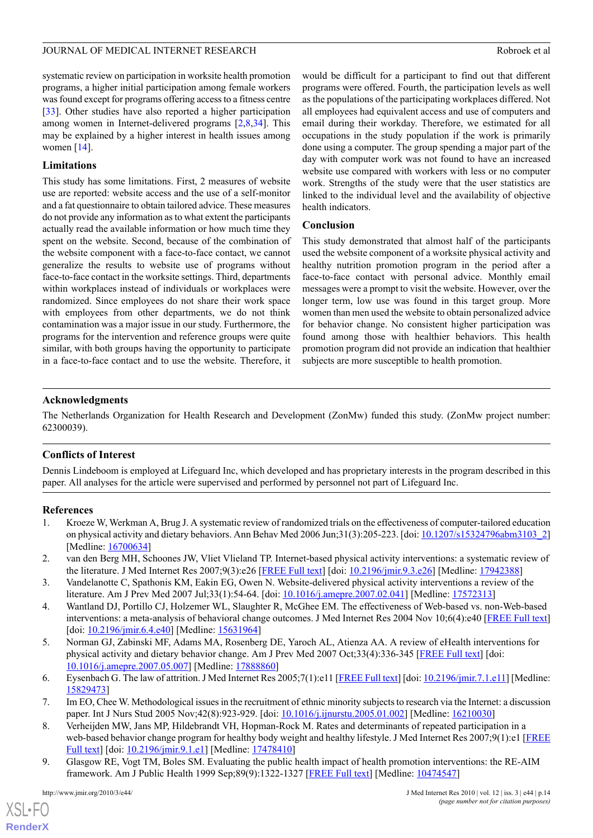### JOURNAL OF MEDICAL INTERNET RESEARCH ROBROR CONSTRUCTION AND ROBROR ROBROR ROBROR AND ROBROR ROBROR ROBROR AND

systematic review on participation in worksite health promotion programs, a higher initial participation among female workers was found except for programs offering access to a fitness centre [[33\]](#page-15-0). Other studies have also reported a higher participation among women in Internet-delivered programs [\[2](#page-13-5),[8,](#page-13-2)[34](#page-15-1)]. This may be explained by a higher interest in health issues among women  $[14]$  $[14]$ .

# **Limitations**

This study has some limitations. First, 2 measures of website use are reported: website access and the use of a self-monitor and a fat questionnaire to obtain tailored advice. These measures do not provide any information as to what extent the participants actually read the available information or how much time they spent on the website. Second, because of the combination of the website component with a face-to-face contact, we cannot generalize the results to website use of programs without face-to-face contact in the worksite settings. Third, departments within workplaces instead of individuals or workplaces were randomized. Since employees do not share their work space with employees from other departments, we do not think contamination was a major issue in our study. Furthermore, the programs for the intervention and reference groups were quite similar, with both groups having the opportunity to participate in a face-to-face contact and to use the website. Therefore, it

would be difficult for a participant to find out that different programs were offered. Fourth, the participation levels as well as the populations of the participating workplaces differed. Not all employees had equivalent access and use of computers and email during their workday. Therefore, we estimated for all occupations in the study population if the work is primarily done using a computer. The group spending a major part of the day with computer work was not found to have an increased website use compared with workers with less or no computer work. Strengths of the study were that the user statistics are linked to the individual level and the availability of objective health indicators.

# **Conclusion**

This study demonstrated that almost half of the participants used the website component of a worksite physical activity and healthy nutrition promotion program in the period after a face-to-face contact with personal advice. Monthly email messages were a prompt to visit the website. However, over the longer term, low use was found in this target group. More women than men used the website to obtain personalized advice for behavior change. No consistent higher participation was found among those with healthier behaviors. This health promotion program did not provide an indication that healthier subjects are more susceptible to health promotion.

# **Acknowledgments**

The Netherlands Organization for Health Research and Development (ZonMw) funded this study. (ZonMw project number: 62300039).

# **Conflicts of Interest**

<span id="page-13-0"></span>Dennis Lindeboom is employed at Lifeguard Inc, which developed and has proprietary interests in the program described in this paper. All analyses for the article were supervised and performed by personnel not part of Lifeguard Inc.

# <span id="page-13-5"></span>**References**

- 1. Kroeze W, Werkman A, Brug J. A systematic review of randomized trials on the effectiveness of computer-tailored education on physical activity and dietary behaviors. Ann Behav Med 2006 Jun;31(3):205-223. [doi: [10.1207/s15324796abm3103\\_2](http://dx.doi.org/10.1207/s15324796abm3103_2)] [Medline: [16700634](http://www.ncbi.nlm.nih.gov/entrez/query.fcgi?cmd=Retrieve&db=PubMed&list_uids=16700634&dopt=Abstract)]
- 2. van den Berg MH, Schoones JW, Vliet Vlieland TP. Internet-based physical activity interventions: a systematic review of the literature. J Med Internet Res 2007;9(3):e26 [[FREE Full text\]](http://www.jmir.org/2007/3/e26/) [doi: [10.2196/jmir.9.3.e26\]](http://dx.doi.org/10.2196/jmir.9.3.e26) [Medline: [17942388\]](http://www.ncbi.nlm.nih.gov/entrez/query.fcgi?cmd=Retrieve&db=PubMed&list_uids=17942388&dopt=Abstract)
- <span id="page-13-1"></span>3. Vandelanotte C, Spathonis KM, Eakin EG, Owen N. Website-delivered physical activity interventions a review of the literature. Am J Prev Med 2007 Jul;33(1):54-64. [doi: [10.1016/j.amepre.2007.02.041\]](http://dx.doi.org/10.1016/j.amepre.2007.02.041) [Medline: [17572313](http://www.ncbi.nlm.nih.gov/entrez/query.fcgi?cmd=Retrieve&db=PubMed&list_uids=17572313&dopt=Abstract)]
- <span id="page-13-4"></span>4. Wantland DJ, Portillo CJ, Holzemer WL, Slaughter R, McGhee EM. The effectiveness of Web-based vs. non-Web-based interventions: a meta-analysis of behavioral change outcomes. J Med Internet Res 2004 Nov 10;6(4):e40 [\[FREE Full text](http://www.jmir.org/2004/4/e40/)] [doi: [10.2196/jmir.6.4.e40](http://dx.doi.org/10.2196/jmir.6.4.e40)] [Medline: [15631964\]](http://www.ncbi.nlm.nih.gov/entrez/query.fcgi?cmd=Retrieve&db=PubMed&list_uids=15631964&dopt=Abstract)
- <span id="page-13-2"></span>5. Norman GJ, Zabinski MF, Adams MA, Rosenberg DE, Yaroch AL, Atienza AA. A review of eHealth interventions for physical activity and dietary behavior change. Am J Prev Med 2007 Oct;33(4):336-345 [[FREE Full text\]](http://pubmedcentralcanada.ca/articlerender.cgi?tool=pubmed&pubmedid=17888860) [doi: [10.1016/j.amepre.2007.05.007\]](http://dx.doi.org/10.1016/j.amepre.2007.05.007) [Medline: [17888860\]](http://www.ncbi.nlm.nih.gov/entrez/query.fcgi?cmd=Retrieve&db=PubMed&list_uids=17888860&dopt=Abstract)
- <span id="page-13-3"></span>6. Eysenbach G. The law of attrition. J Med Internet Res 2005;7(1):e11 [\[FREE Full text](http://www.jmir.org/2005/1/e11/)] [doi: [10.2196/jmir.7.1.e11](http://dx.doi.org/10.2196/jmir.7.1.e11)] [Medline: [15829473](http://www.ncbi.nlm.nih.gov/entrez/query.fcgi?cmd=Retrieve&db=PubMed&list_uids=15829473&dopt=Abstract)]
- 7. Im EO, Chee W. Methodological issues in the recruitment of ethnic minority subjects to research via the Internet: a discussion paper. Int J Nurs Stud 2005 Nov;42(8):923-929. [doi: [10.1016/j.ijnurstu.2005.01.002](http://dx.doi.org/10.1016/j.ijnurstu.2005.01.002)] [Medline: [16210030\]](http://www.ncbi.nlm.nih.gov/entrez/query.fcgi?cmd=Retrieve&db=PubMed&list_uids=16210030&dopt=Abstract)
- 8. Verheijden MW, Jans MP, Hildebrandt VH, Hopman-Rock M. Rates and determinants of repeated participation in a web-based behavior change program for healthy body weight and healthy lifestyle. J Med Internet Res 2007;9(1):e1 [\[FREE](http://www.jmir.org/2007/1/e1/) [Full text](http://www.jmir.org/2007/1/e1/)] [doi: [10.2196/jmir.9.1.e1\]](http://dx.doi.org/10.2196/jmir.9.1.e1) [Medline: [17478410](http://www.ncbi.nlm.nih.gov/entrez/query.fcgi?cmd=Retrieve&db=PubMed&list_uids=17478410&dopt=Abstract)]
- 9. Glasgow RE, Vogt TM, Boles SM. Evaluating the public health impact of health promotion interventions: the RE-AIM framework. Am J Public Health 1999 Sep;89(9):1322-1327 [\[FREE Full text\]](http://www.ncbi.nlm.nih.gov/pmc/articles/pmid/10474547/?tool=pubmed) [Medline: [10474547](http://www.ncbi.nlm.nih.gov/entrez/query.fcgi?cmd=Retrieve&db=PubMed&list_uids=10474547&dopt=Abstract)]

 $XS$  $\cdot$ FC **[RenderX](http://www.renderx.com/)**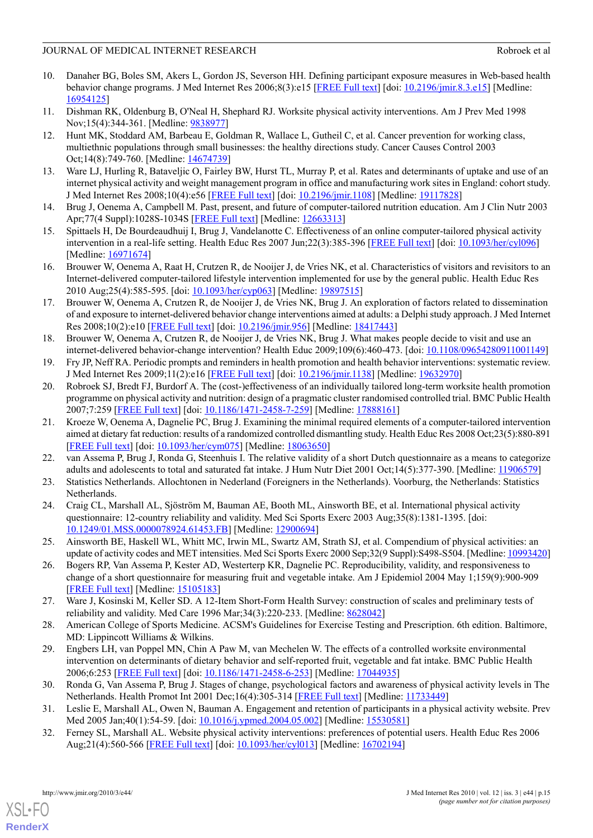# JOURNAL OF MEDICAL INTERNET RESEARCH ROBROR CONSTRUCTION AND ROBROR ROBROR ROBROR AND ROBROR ROBROR ROBROR AND

- <span id="page-14-0"></span>10. Danaher BG, Boles SM, Akers L, Gordon JS, Severson HH. Defining participant exposure measures in Web-based health behavior change programs. J Med Internet Res 2006;8(3):e15 [\[FREE Full text\]](http://www.jmir.org/2006/3/e15/) [doi: [10.2196/jmir.8.3.e15](http://dx.doi.org/10.2196/jmir.8.3.e15)] [Medline: [16954125](http://www.ncbi.nlm.nih.gov/entrez/query.fcgi?cmd=Retrieve&db=PubMed&list_uids=16954125&dopt=Abstract)]
- <span id="page-14-2"></span><span id="page-14-1"></span>11. Dishman RK, Oldenburg B, O'Neal H, Shephard RJ. Worksite physical activity interventions. Am J Prev Med 1998 Nov;15(4):344-361. [Medline: [9838977](http://www.ncbi.nlm.nih.gov/entrez/query.fcgi?cmd=Retrieve&db=PubMed&list_uids=9838977&dopt=Abstract)]
- 12. Hunt MK, Stoddard AM, Barbeau E, Goldman R, Wallace L, Gutheil C, et al. Cancer prevention for working class, multiethnic populations through small businesses: the healthy directions study. Cancer Causes Control 2003 Oct;14(8):749-760. [Medline: [14674739](http://www.ncbi.nlm.nih.gov/entrez/query.fcgi?cmd=Retrieve&db=PubMed&list_uids=14674739&dopt=Abstract)]
- <span id="page-14-4"></span><span id="page-14-3"></span>13. Ware LJ, Hurling R, Bataveljic O, Fairley BW, Hurst TL, Murray P, et al. Rates and determinants of uptake and use of an internet physical activity and weight management program in office and manufacturing work sites in England: cohort study. J Med Internet Res 2008;10(4):e56 [\[FREE Full text\]](http://www.jmir.org/2008/4/e56/) [doi: [10.2196/jmir.1108](http://dx.doi.org/10.2196/jmir.1108)] [Medline: [19117828\]](http://www.ncbi.nlm.nih.gov/entrez/query.fcgi?cmd=Retrieve&db=PubMed&list_uids=19117828&dopt=Abstract)
- 14. Brug J, Oenema A, Campbell M. Past, present, and future of computer-tailored nutrition education. Am J Clin Nutr 2003 Apr;77(4 Suppl):1028S-1034S [\[FREE Full text\]](http://www.ajcn.org/cgi/pmidlookup?view=long&pmid=12663313) [Medline: [12663313\]](http://www.ncbi.nlm.nih.gov/entrez/query.fcgi?cmd=Retrieve&db=PubMed&list_uids=12663313&dopt=Abstract)
- <span id="page-14-5"></span>15. Spittaels H, De Bourdeaudhuij I, Brug J, Vandelanotte C. Effectiveness of an online computer-tailored physical activity intervention in a real-life setting. Health Educ Res 2007 Jun;22(3):385-396 [[FREE Full text](http://her.oxfordjournals.org/cgi/pmidlookup?view=long&pmid=16971674)] [doi: [10.1093/her/cyl096](http://dx.doi.org/10.1093/her/cyl096)] [Medline: [16971674](http://www.ncbi.nlm.nih.gov/entrez/query.fcgi?cmd=Retrieve&db=PubMed&list_uids=16971674&dopt=Abstract)]
- <span id="page-14-6"></span>16. Brouwer W, Oenema A, Raat H, Crutzen R, de Nooijer J, de Vries NK, et al. Characteristics of visitors and revisitors to an Internet-delivered computer-tailored lifestyle intervention implemented for use by the general public. Health Educ Res 2010 Aug;25(4):585-595. [doi: [10.1093/her/cyp063](http://dx.doi.org/10.1093/her/cyp063)] [Medline: [19897515](http://www.ncbi.nlm.nih.gov/entrez/query.fcgi?cmd=Retrieve&db=PubMed&list_uids=19897515&dopt=Abstract)]
- <span id="page-14-7"></span>17. Brouwer W, Oenema A, Crutzen R, de Nooijer J, de Vries NK, Brug J. An exploration of factors related to dissemination of and exposure to internet-delivered behavior change interventions aimed at adults: a Delphi study approach. J Med Internet Res 2008;10(2):e10 [[FREE Full text\]](http://www.jmir.org/2008/2/e10/) [doi: [10.2196/jmir.956](http://dx.doi.org/10.2196/jmir.956)] [Medline: [18417443\]](http://www.ncbi.nlm.nih.gov/entrez/query.fcgi?cmd=Retrieve&db=PubMed&list_uids=18417443&dopt=Abstract)
- <span id="page-14-9"></span><span id="page-14-8"></span>18. Brouwer W, Oenema A, Crutzen R, de Nooijer J, de Vries NK, Brug J. What makes people decide to visit and use an internet-delivered behavior-change intervention? Health Educ 2009;109(6):460-473. [doi: [10.1108/09654280911001149\]](http://dx.doi.org/10.1108/09654280911001149)
- 19. Fry JP, Neff RA. Periodic prompts and reminders in health promotion and health behavior interventions: systematic review. J Med Internet Res 2009;11(2):e16 [[FREE Full text](http://www.jmir.org/2009/2/e16/)] [doi: [10.2196/jmir.1138](http://dx.doi.org/10.2196/jmir.1138)] [Medline: [19632970\]](http://www.ncbi.nlm.nih.gov/entrez/query.fcgi?cmd=Retrieve&db=PubMed&list_uids=19632970&dopt=Abstract)
- <span id="page-14-10"></span>20. Robroek SJ, Bredt FJ, Burdorf A. The (cost-)effectiveness of an individually tailored long-term worksite health promotion programme on physical activity and nutrition: design of a pragmatic cluster randomised controlled trial. BMC Public Health 2007;7:259 [[FREE Full text](http://www.biomedcentral.com/1471-2458/7/259)] [doi: [10.1186/1471-2458-7-259](http://dx.doi.org/10.1186/1471-2458-7-259)] [Medline: [17888161](http://www.ncbi.nlm.nih.gov/entrez/query.fcgi?cmd=Retrieve&db=PubMed&list_uids=17888161&dopt=Abstract)]
- <span id="page-14-12"></span><span id="page-14-11"></span>21. Kroeze W, Oenema A, Dagnelie PC, Brug J. Examining the minimal required elements of a computer-tailored intervention aimed at dietary fat reduction: results of a randomized controlled dismantling study. Health Educ Res 2008 Oct;23(5):880-891 [[FREE Full text](http://her.oxfordjournals.org/cgi/pmidlookup?view=long&pmid=18063650)] [doi: [10.1093/her/cym075](http://dx.doi.org/10.1093/her/cym075)] [Medline: [18063650](http://www.ncbi.nlm.nih.gov/entrez/query.fcgi?cmd=Retrieve&db=PubMed&list_uids=18063650&dopt=Abstract)]
- <span id="page-14-13"></span>22. van Assema P, Brug J, Ronda G, Steenhuis I. The relative validity of a short Dutch questionnaire as a means to categorize adults and adolescents to total and saturated fat intake. J Hum Nutr Diet 2001 Oct;14(5):377-390. [Medline: [11906579](http://www.ncbi.nlm.nih.gov/entrez/query.fcgi?cmd=Retrieve&db=PubMed&list_uids=11906579&dopt=Abstract)]
- <span id="page-14-14"></span>23. Statistics Netherlands. Allochtonen in Nederland (Foreigners in the Netherlands). Voorburg, the Netherlands: Statistics Netherlands.
- <span id="page-14-15"></span>24. Craig CL, Marshall AL, Sjöström M, Bauman AE, Booth ML, Ainsworth BE, et al. International physical activity questionnaire: 12-country reliability and validity. Med Sci Sports Exerc 2003 Aug;35(8):1381-1395. [doi: [10.1249/01.MSS.0000078924.61453.FB](http://dx.doi.org/10.1249/01.MSS.0000078924.61453.FB)] [Medline: [12900694\]](http://www.ncbi.nlm.nih.gov/entrez/query.fcgi?cmd=Retrieve&db=PubMed&list_uids=12900694&dopt=Abstract)
- <span id="page-14-16"></span>25. Ainsworth BE, Haskell WL, Whitt MC, Irwin ML, Swartz AM, Strath SJ, et al. Compendium of physical activities: an update of activity codes and MET intensities. Med Sci Sports Exerc 2000 Sep;32(9 Suppl):S498-S504. [Medline: [10993420\]](http://www.ncbi.nlm.nih.gov/entrez/query.fcgi?cmd=Retrieve&db=PubMed&list_uids=10993420&dopt=Abstract)
- <span id="page-14-17"></span>26. Bogers RP, Van Assema P, Kester AD, Westerterp KR, Dagnelie PC. Reproducibility, validity, and responsiveness to change of a short questionnaire for measuring fruit and vegetable intake. Am J Epidemiol 2004 May 1;159(9):900-909 [[FREE Full text](http://aje.oxfordjournals.org/cgi/pmidlookup?view=long&pmid=15105183)] [Medline: [15105183](http://www.ncbi.nlm.nih.gov/entrez/query.fcgi?cmd=Retrieve&db=PubMed&list_uids=15105183&dopt=Abstract)]
- <span id="page-14-18"></span>27. Ware J, Kosinski M, Keller SD. A 12-Item Short-Form Health Survey: construction of scales and preliminary tests of reliability and validity. Med Care 1996 Mar;34(3):220-233. [Medline: [8628042](http://www.ncbi.nlm.nih.gov/entrez/query.fcgi?cmd=Retrieve&db=PubMed&list_uids=8628042&dopt=Abstract)]
- <span id="page-14-19"></span>28. American College of Sports Medicine. ACSM's Guidelines for Exercise Testing and Prescription. 6th edition. Baltimore, MD: Lippincott Williams & Wilkins.
- <span id="page-14-21"></span><span id="page-14-20"></span>29. Engbers LH, van Poppel MN, Chin A Paw M, van Mechelen W. The effects of a controlled worksite environmental intervention on determinants of dietary behavior and self-reported fruit, vegetable and fat intake. BMC Public Health 2006;6:253 [[FREE Full text](http://www.biomedcentral.com/1471-2458/6/253)] [doi: [10.1186/1471-2458-6-253](http://dx.doi.org/10.1186/1471-2458-6-253)] [Medline: [17044935](http://www.ncbi.nlm.nih.gov/entrez/query.fcgi?cmd=Retrieve&db=PubMed&list_uids=17044935&dopt=Abstract)]
- 30. Ronda G, Van Assema P, Brug J. Stages of change, psychological factors and awareness of physical activity levels in The Netherlands. Health Promot Int 2001 Dec;16(4):305-314 [\[FREE Full text\]](http://heapro.oxfordjournals.org/cgi/pmidlookup?view=long&pmid=11733449) [Medline: [11733449](http://www.ncbi.nlm.nih.gov/entrez/query.fcgi?cmd=Retrieve&db=PubMed&list_uids=11733449&dopt=Abstract)]
- 31. Leslie E, Marshall AL, Owen N, Bauman A. Engagement and retention of participants in a physical activity website. Prev Med 2005 Jan;40(1):54-59. [doi: [10.1016/j.ypmed.2004.05.002](http://dx.doi.org/10.1016/j.ypmed.2004.05.002)] [Medline: [15530581](http://www.ncbi.nlm.nih.gov/entrez/query.fcgi?cmd=Retrieve&db=PubMed&list_uids=15530581&dopt=Abstract)]
- 32. Ferney SL, Marshall AL. Website physical activity interventions: preferences of potential users. Health Educ Res 2006 Aug;21(4):560-566 [\[FREE Full text\]](http://her.oxfordjournals.org/cgi/pmidlookup?view=long&pmid=16702194) [doi: [10.1093/her/cyl013\]](http://dx.doi.org/10.1093/her/cyl013) [Medline: [16702194\]](http://www.ncbi.nlm.nih.gov/entrez/query.fcgi?cmd=Retrieve&db=PubMed&list_uids=16702194&dopt=Abstract)